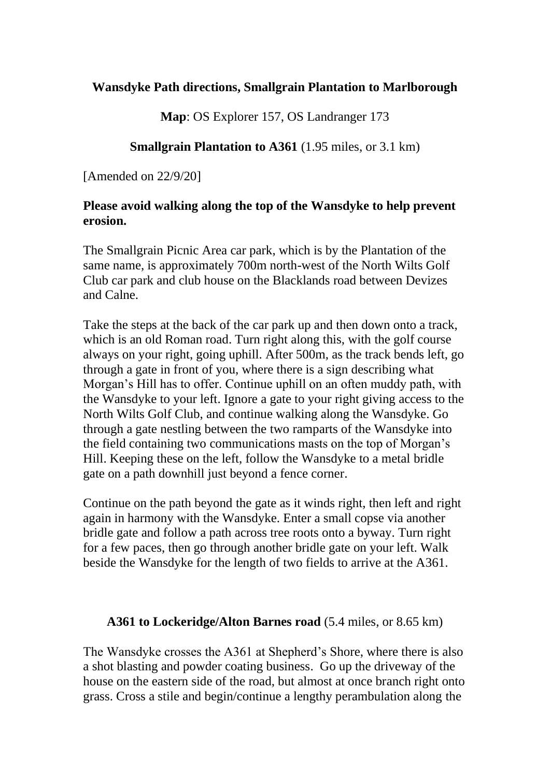# **Wansdyke Path directions, Smallgrain Plantation to Marlborough**

**Map**: OS Explorer 157, OS Landranger 173

# **Smallgrain Plantation to A361** (1.95 miles, or 3.1 km)

[Amended on 22/9/20]

## **Please avoid walking along the top of the Wansdyke to help prevent erosion.**

The Smallgrain Picnic Area car park, which is by the Plantation of the same name, is approximately 700m north-west of the North Wilts Golf Club car park and club house on the Blacklands road between Devizes and Calne.

Take the steps at the back of the car park up and then down onto a track, which is an old Roman road. Turn right along this, with the golf course always on your right, going uphill. After 500m, as the track bends left, go through a gate in front of you, where there is a sign describing what Morgan's Hill has to offer. Continue uphill on an often muddy path, with the Wansdyke to your left. Ignore a gate to your right giving access to the North Wilts Golf Club, and continue walking along the Wansdyke. Go through a gate nestling between the two ramparts of the Wansdyke into the field containing two communications masts on the top of Morgan's Hill. Keeping these on the left, follow the Wansdyke to a metal bridle gate on a path downhill just beyond a fence corner.

Continue on the path beyond the gate as it winds right, then left and right again in harmony with the Wansdyke. Enter a small copse via another bridle gate and follow a path across tree roots onto a byway. Turn right for a few paces, then go through another bridle gate on your left. Walk beside the Wansdyke for the length of two fields to arrive at the A361.

### **A361 to Lockeridge/Alton Barnes road** (5.4 miles, or 8.65 km)

The Wansdyke crosses the A361 at Shepherd's Shore, where there is also a shot blasting and powder coating business. Go up the driveway of the house on the eastern side of the road, but almost at once branch right onto grass. Cross a stile and begin/continue a lengthy perambulation along the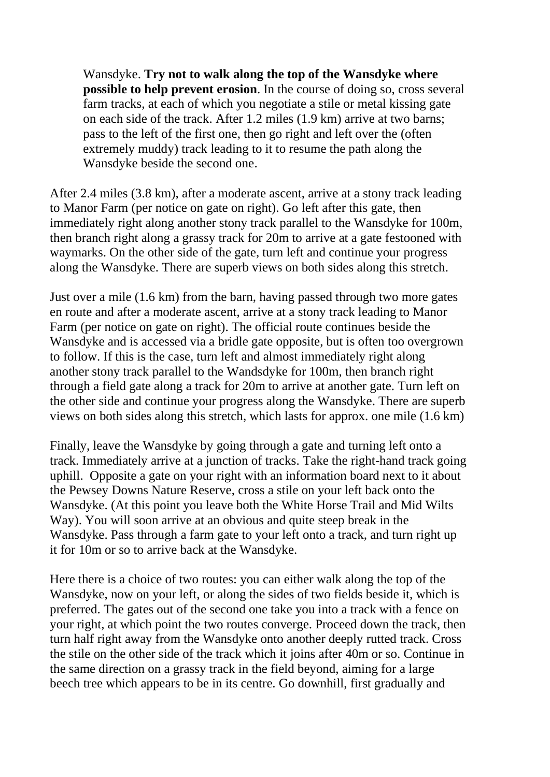Wansdyke. **Try not to walk along the top of the Wansdyke where possible to help prevent erosion**. In the course of doing so, cross several farm tracks, at each of which you negotiate a stile or metal kissing gate on each side of the track. After 1.2 miles (1.9 km) arrive at two barns; pass to the left of the first one, then go right and left over the (often extremely muddy) track leading to it to resume the path along the Wansdyke beside the second one.

After 2.4 miles (3.8 km), after a moderate ascent, arrive at a stony track leading to Manor Farm (per notice on gate on right). Go left after this gate, then immediately right along another stony track parallel to the Wansdyke for 100m, then branch right along a grassy track for 20m to arrive at a gate festooned with waymarks. On the other side of the gate, turn left and continue your progress along the Wansdyke. There are superb views on both sides along this stretch.

Just over a mile (1.6 km) from the barn, having passed through two more gates en route and after a moderate ascent, arrive at a stony track leading to Manor Farm (per notice on gate on right). The official route continues beside the Wansdyke and is accessed via a bridle gate opposite, but is often too overgrown to follow. If this is the case, turn left and almost immediately right along another stony track parallel to the Wandsdyke for 100m, then branch right through a field gate along a track for 20m to arrive at another gate. Turn left on the other side and continue your progress along the Wansdyke. There are superb views on both sides along this stretch, which lasts for approx. one mile (1.6 km)

Finally, leave the Wansdyke by going through a gate and turning left onto a track. Immediately arrive at a junction of tracks. Take the right-hand track going uphill. Opposite a gate on your right with an information board next to it about the Pewsey Downs Nature Reserve, cross a stile on your left back onto the Wansdyke. (At this point you leave both the White Horse Trail and Mid Wilts Way). You will soon arrive at an obvious and quite steep break in the Wansdyke. Pass through a farm gate to your left onto a track, and turn right up it for 10m or so to arrive back at the Wansdyke.

Here there is a choice of two routes: you can either walk along the top of the Wansdyke, now on your left, or along the sides of two fields beside it, which is preferred. The gates out of the second one take you into a track with a fence on your right, at which point the two routes converge. Proceed down the track, then turn half right away from the Wansdyke onto another deeply rutted track. Cross the stile on the other side of the track which it joins after 40m or so. Continue in the same direction on a grassy track in the field beyond, aiming for a large beech tree which appears to be in its centre. Go downhill, first gradually and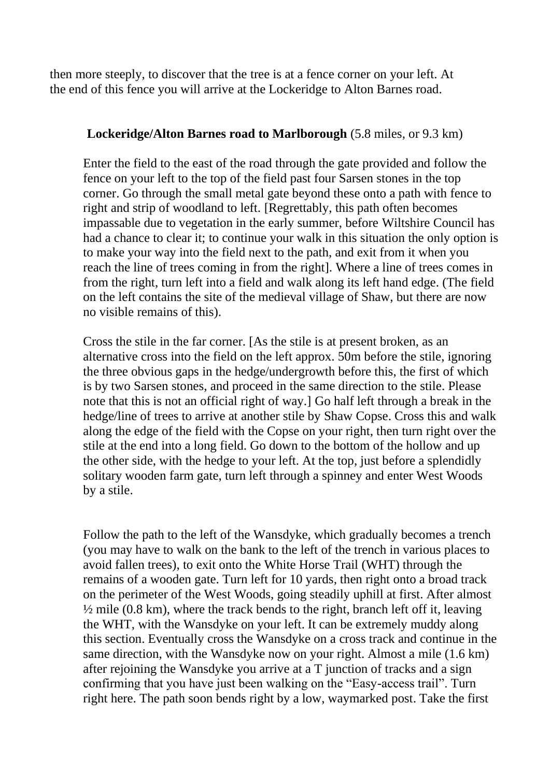then more steeply, to discover that the tree is at a fence corner on your left. At the end of this fence you will arrive at the Lockeridge to Alton Barnes road.

### **Lockeridge/Alton Barnes road to Marlborough** (5.8 miles, or 9.3 km)

Enter the field to the east of the road through the gate provided and follow the fence on your left to the top of the field past four Sarsen stones in the top corner. Go through the small metal gate beyond these onto a path with fence to right and strip of woodland to left. [Regrettably, this path often becomes impassable due to vegetation in the early summer, before Wiltshire Council has had a chance to clear it; to continue your walk in this situation the only option is to make your way into the field next to the path, and exit from it when you reach the line of trees coming in from the right]. Where a line of trees comes in from the right, turn left into a field and walk along its left hand edge. (The field on the left contains the site of the medieval village of Shaw, but there are now no visible remains of this).

Cross the stile in the far corner. [As the stile is at present broken, as an alternative cross into the field on the left approx. 50m before the stile, ignoring the three obvious gaps in the hedge/undergrowth before this, the first of which is by two Sarsen stones, and proceed in the same direction to the stile. Please note that this is not an official right of way.] Go half left through a break in the hedge/line of trees to arrive at another stile by Shaw Copse. Cross this and walk along the edge of the field with the Copse on your right, then turn right over the stile at the end into a long field. Go down to the bottom of the hollow and up the other side, with the hedge to your left. At the top, just before a splendidly solitary wooden farm gate, turn left through a spinney and enter West Woods by a stile.

Follow the path to the left of the Wansdyke, which gradually becomes a trench (you may have to walk on the bank to the left of the trench in various places to avoid fallen trees), to exit onto the White Horse Trail (WHT) through the remains of a wooden gate. Turn left for 10 yards, then right onto a broad track on the perimeter of the West Woods, going steadily uphill at first. After almost  $\frac{1}{2}$  mile (0.8 km), where the track bends to the right, branch left off it, leaving the WHT, with the Wansdyke on your left. It can be extremely muddy along this section. Eventually cross the Wansdyke on a cross track and continue in the same direction, with the Wansdyke now on your right. Almost a mile (1.6 km) after rejoining the Wansdyke you arrive at a T junction of tracks and a sign confirming that you have just been walking on the "Easy-access trail". Turn right here. The path soon bends right by a low, waymarked post. Take the first